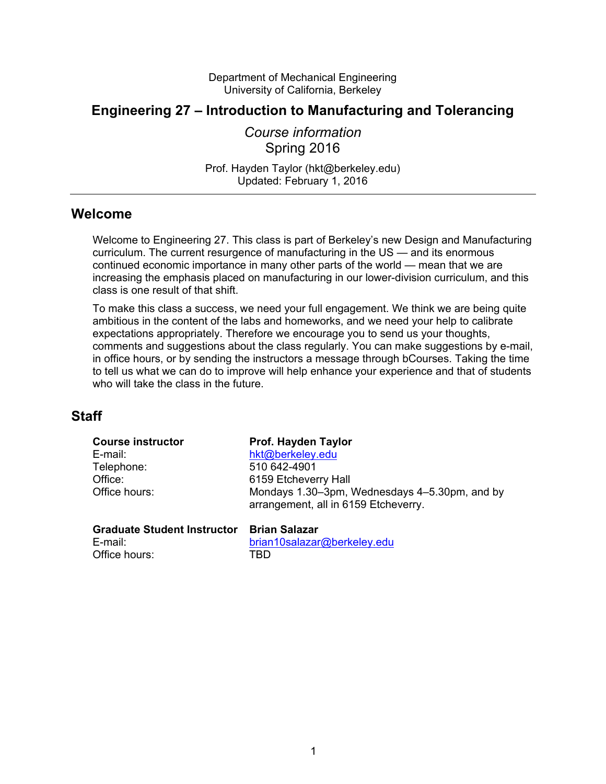Department of Mechanical Engineering University of California, Berkeley

# **Engineering 27 – Introduction to Manufacturing and Tolerancing**

*Course information*  Spring 2016

Prof. Hayden Taylor (hkt@berkeley.edu) Updated: February 1, 2016

## **Welcome**

Welcome to Engineering 27. This class is part of Berkeley's new Design and Manufacturing curriculum. The current resurgence of manufacturing in the US — and its enormous continued economic importance in many other parts of the world — mean that we are increasing the emphasis placed on manufacturing in our lower-division curriculum, and this class is one result of that shift.

To make this class a success, we need your full engagement. We think we are being quite ambitious in the content of the labs and homeworks, and we need your help to calibrate expectations appropriately. Therefore we encourage you to send us your thoughts, comments and suggestions about the class regularly. You can make suggestions by e-mail, in office hours, or by sending the instructors a message through bCourses. Taking the time to tell us what we can do to improve will help enhance your experience and that of students who will take the class in the future.

## **Staff**

| <b>Course instructor</b><br>E-mail:<br>Telephone:<br>Office:<br>Office hours: | Prof. Hayden Taylor<br>hkt@berkeley.edu<br>510 642-4901<br>6159 Etcheverry Hall<br>Mondays 1.30–3pm, Wednesdays 4–5.30pm, and by<br>arrangement, all in 6159 Etcheverry. |
|-------------------------------------------------------------------------------|--------------------------------------------------------------------------------------------------------------------------------------------------------------------------|
| <b>Graduate Student Instructor</b>                                            | <b>Brian Salazar</b>                                                                                                                                                     |
| E-mail:                                                                       | brian10salazar@berkeley.edu                                                                                                                                              |

Office hours: TBD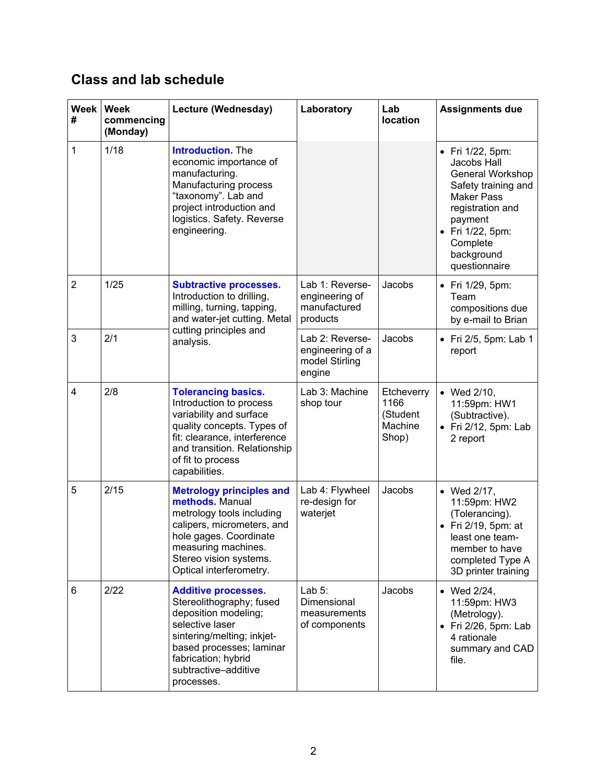# **Class and lab schedule**

| <b>Week</b><br># | <b>Week</b><br>commencing<br>(Monday) | Lecture (Wednesday)                                                                                                                                                                                                      | Laboratory                                                      | Lab<br>location                                    | <b>Assignments due</b>                                                                                                                                                                           |
|------------------|---------------------------------------|--------------------------------------------------------------------------------------------------------------------------------------------------------------------------------------------------------------------------|-----------------------------------------------------------------|----------------------------------------------------|--------------------------------------------------------------------------------------------------------------------------------------------------------------------------------------------------|
| 1                | 1/18                                  | <b>Introduction.</b> The<br>economic importance of<br>manufacturing.<br>Manufacturing process<br>"taxonomy". Lab and<br>project introduction and<br>logistics. Safety. Reverse<br>engineering.                           |                                                                 |                                                    | • Fri $1/22$ , 5pm:<br>Jacobs Hall<br>General Workshop<br>Safety training and<br><b>Maker Pass</b><br>registration and<br>payment<br>• Fri 1/22, 5pm:<br>Complete<br>background<br>questionnaire |
| $\overline{2}$   | 1/25                                  | <b>Subtractive processes.</b><br>Introduction to drilling,<br>milling, turning, tapping,<br>and water-jet cutting. Metal<br>cutting principles and<br>analysis.                                                          | Lab 1: Reverse-<br>engineering of<br>manufactured<br>products   | Jacobs                                             | • Fri 1/29, 5pm:<br>Team<br>compositions due<br>by e-mail to Brian                                                                                                                               |
| 3                | 2/1                                   |                                                                                                                                                                                                                          | Lab 2: Reverse-<br>engineering of a<br>model Stirling<br>engine | Jacobs                                             | $\bullet$ Fri 2/5, 5pm: Lab 1<br>report                                                                                                                                                          |
| $\overline{4}$   | 2/8                                   | <b>Tolerancing basics.</b><br>Introduction to process<br>variability and surface<br>quality concepts. Types of<br>fit: clearance, interference<br>and transition. Relationship<br>of fit to process<br>capabilities.     | Lab 3: Machine<br>shop tour                                     | Etcheverry<br>1166<br>(Student<br>Machine<br>Shop) | • Wed 2/10,<br>11:59pm: HW1<br>(Subtractive).<br>$\bullet$ Fri 2/12, 5pm: Lab<br>2 report                                                                                                        |
| 5                | 2/15                                  | <b>Metrology principles and</b><br>methods. Manual<br>metrology tools including<br>calipers, micrometers, and<br>hole gages. Coordinate<br>measuring machines.<br>Stereo vision systems.<br>Optical interferometry.      | Lab 4: Flywheel<br>re-design for<br>waterjet                    | Jacobs                                             | • Wed 2/17,<br>11:59pm: HW2<br>(Tolerancing).<br>Fri 2/19, 5pm: at<br>least one team-<br>member to have<br>completed Type A<br>3D printer training                                               |
| 6                | 2/22                                  | <b>Additive processes.</b><br>Stereolithography; fused<br>deposition modeling;<br>selective laser<br>sintering/melting; inkjet-<br>based processes; laminar<br>fabrication; hybrid<br>subtractive-additive<br>processes. | Lab $5:$<br>Dimensional<br>measurements<br>of components        | Jacobs                                             | • Wed 2/24,<br>11:59pm: HW3<br>(Metrology).<br>• Fri 2/26, 5pm: Lab<br>4 rationale<br>summary and CAD<br>file.                                                                                   |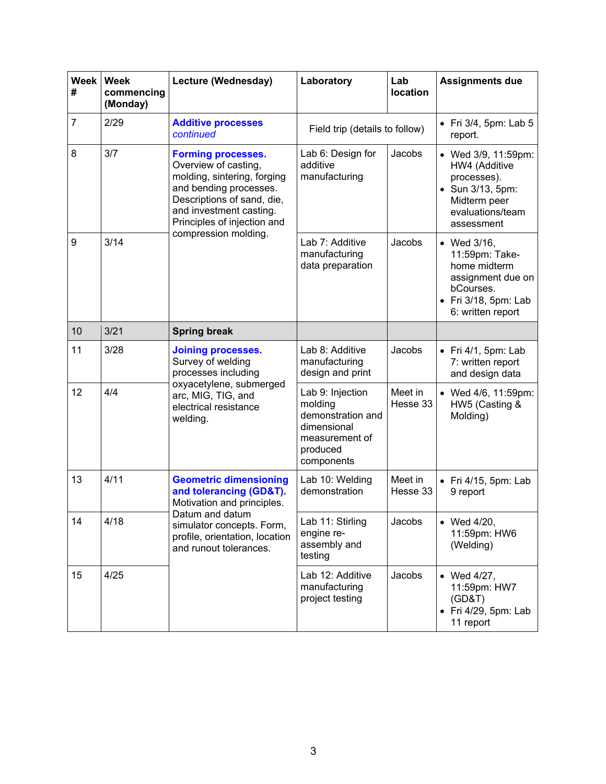| <b>Week</b><br># | <b>Week</b><br>commencing<br>(Monday) | Lecture (Wednesday)                                                                                                                                                                                                        | Laboratory                                                                                                  | Lab<br>location     | <b>Assignments due</b>                                                                                                          |
|------------------|---------------------------------------|----------------------------------------------------------------------------------------------------------------------------------------------------------------------------------------------------------------------------|-------------------------------------------------------------------------------------------------------------|---------------------|---------------------------------------------------------------------------------------------------------------------------------|
| $\overline{7}$   | 2/29                                  | <b>Additive processes</b><br>continued                                                                                                                                                                                     | Field trip (details to follow)                                                                              |                     | • Fri $3/4$ , 5pm: Lab 5<br>report.                                                                                             |
| 8                | 3/7                                   | <b>Forming processes.</b><br>Overview of casting,<br>molding, sintering, forging<br>and bending processes.<br>Descriptions of sand, die,<br>and investment casting.<br>Principles of injection and<br>compression molding. | Lab 6: Design for<br>additive<br>manufacturing                                                              | Jacobs              | • Wed 3/9, 11:59pm:<br>HW4 (Additive<br>processes).<br>• Sun 3/13, 5pm:<br>Midterm peer<br>evaluations/team<br>assessment       |
| 9                | 3/14                                  |                                                                                                                                                                                                                            | Lab 7: Additive<br>manufacturing<br>data preparation                                                        | Jacobs              | • Wed $3/16$ ,<br>11:59pm: Take-<br>home midterm<br>assignment due on<br>bCourses.<br>• Fri 3/18, 5pm: Lab<br>6: written report |
| 10               | 3/21                                  | <b>Spring break</b>                                                                                                                                                                                                        |                                                                                                             |                     |                                                                                                                                 |
| 11               | 3/28                                  | <b>Joining processes.</b><br>Survey of welding<br>processes including<br>oxyacetylene, submerged<br>arc, MIG, TIG, and<br>electrical resistance<br>welding.                                                                | Lab 8: Additive<br>manufacturing<br>design and print                                                        | Jacobs              | $\bullet$ Fri 4/1, 5pm: Lab<br>7: written report<br>and design data                                                             |
| 12               | 4/4                                   |                                                                                                                                                                                                                            | Lab 9: Injection<br>molding<br>demonstration and<br>dimensional<br>measurement of<br>produced<br>components | Meet in<br>Hesse 33 | • Wed 4/6, 11:59pm:<br>HW5 (Casting &<br>Molding)                                                                               |
| 13               | 4/11                                  | <b>Geometric dimensioning</b><br>and tolerancing (GD&T).<br>Motivation and principles.<br>Datum and datum<br>simulator concepts. Form,<br>profile, orientation, location<br>and runout tolerances.                         | Lab 10: Welding<br>demonstration                                                                            | Meet in<br>Hesse 33 | $\bullet$ Fri 4/15, 5pm: Lab<br>9 report                                                                                        |
| 14               | 4/18                                  |                                                                                                                                                                                                                            | Lab 11: Stirling<br>engine re-<br>assembly and<br>testing                                                   | Jacobs              | • Wed $4/20$ ,<br>11:59pm: HW6<br>(Welding)                                                                                     |
| 15               | 4/25                                  |                                                                                                                                                                                                                            | Lab 12: Additive<br>manufacturing<br>project testing                                                        | Jacobs              | $\bullet$ Wed 4/27,<br>11:59pm: HW7<br>(GD&T)<br>• Fri 4/29, 5pm: Lab<br>11 report                                              |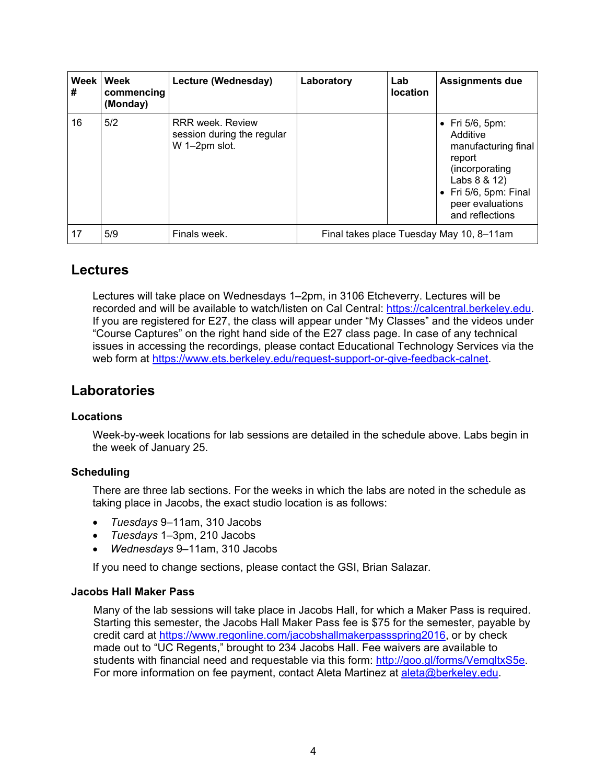| #  | Week Week<br>commencing<br>(Monday) | Lecture (Wednesday)                                                    | Laboratory | Lab<br><b>location</b> | <b>Assignments due</b>                                                                                                                                                 |
|----|-------------------------------------|------------------------------------------------------------------------|------------|------------------------|------------------------------------------------------------------------------------------------------------------------------------------------------------------------|
| 16 | 5/2                                 | <b>RRR</b> week, Review<br>session during the regular<br>W 1-2pm slot. |            |                        | $\bullet$ Fri 5/6, 5pm:<br>Additive<br>manufacturing final<br>report<br>(incorporating<br>Labs 8 & 12)<br>• Fri 5/6, 5pm: Final<br>peer evaluations<br>and reflections |
| 17 | 5/9                                 | Finals week.                                                           |            |                        | Final takes place Tuesday May 10, 8-11am                                                                                                                               |

## **Lectures**

Lectures will take place on Wednesdays 1–2pm, in 3106 Etcheverry. Lectures will be recorded and will be available to watch/listen on Cal Central: https://calcentral.berkeley.edu. If you are registered for E27, the class will appear under "My Classes" and the videos under "Course Captures" on the right hand side of the E27 class page. In case of any technical issues in accessing the recordings, please contact Educational Technology Services via the web form at https://www.ets.berkeley.edu/request-support-or-give-feedback-calnet.

# **Laboratories**

### **Locations**

Week-by-week locations for lab sessions are detailed in the schedule above. Labs begin in the week of January 25.

### **Scheduling**

There are three lab sections. For the weeks in which the labs are noted in the schedule as taking place in Jacobs, the exact studio location is as follows:

- *Tuesdays* 9–11am, 310 Jacobs
- *Tuesdays* 1–3pm, 210 Jacobs
- *Wednesdays* 9–11am, 310 Jacobs

If you need to change sections, please contact the GSI, Brian Salazar.

### **Jacobs Hall Maker Pass**

Many of the lab sessions will take place in Jacobs Hall, for which a Maker Pass is required. Starting this semester, the Jacobs Hall Maker Pass fee is \$75 for the semester, payable by credit card at https://www.regonline.com/jacobshallmakerpassspring2016, or by check made out to "UC Regents," brought to 234 Jacobs Hall. Fee waivers are available to students with financial need and requestable via this form: http://goo.gl/forms/VemqltxS5e. For more information on fee payment, contact Aleta Martinez at aleta@berkeley.edu.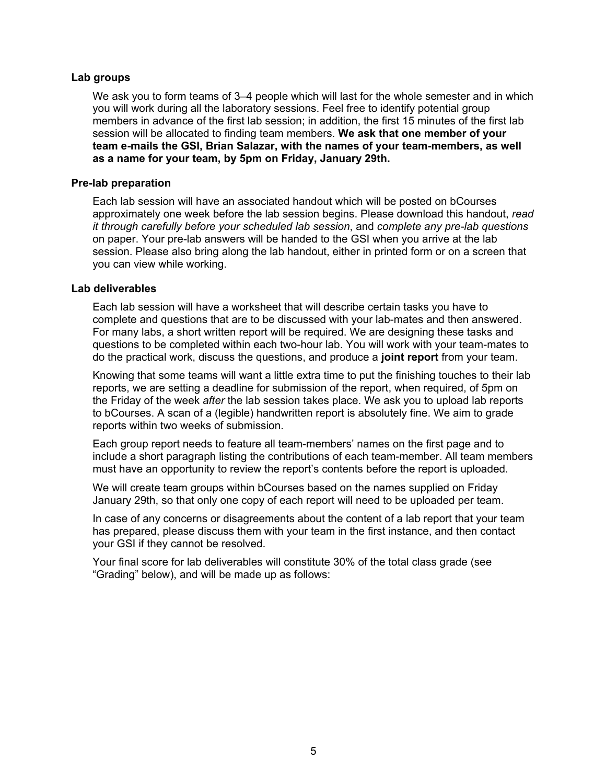#### **Lab groups**

We ask you to form teams of 3–4 people which will last for the whole semester and in which you will work during all the laboratory sessions. Feel free to identify potential group members in advance of the first lab session; in addition, the first 15 minutes of the first lab session will be allocated to finding team members. **We ask that one member of your team e-mails the GSI, Brian Salazar, with the names of your team-members, as well as a name for your team, by 5pm on Friday, January 29th.** 

#### **Pre-lab preparation**

Each lab session will have an associated handout which will be posted on bCourses approximately one week before the lab session begins. Please download this handout, *read it through carefully before your scheduled lab session*, and *complete any pre-lab questions* on paper. Your pre-lab answers will be handed to the GSI when you arrive at the lab session. Please also bring along the lab handout, either in printed form or on a screen that you can view while working.

#### **Lab deliverables**

Each lab session will have a worksheet that will describe certain tasks you have to complete and questions that are to be discussed with your lab-mates and then answered. For many labs, a short written report will be required. We are designing these tasks and questions to be completed within each two-hour lab. You will work with your team-mates to do the practical work, discuss the questions, and produce a **joint report** from your team.

Knowing that some teams will want a little extra time to put the finishing touches to their lab reports, we are setting a deadline for submission of the report, when required, of 5pm on the Friday of the week *after* the lab session takes place. We ask you to upload lab reports to bCourses. A scan of a (legible) handwritten report is absolutely fine. We aim to grade reports within two weeks of submission.

Each group report needs to feature all team-members' names on the first page and to include a short paragraph listing the contributions of each team-member. All team members must have an opportunity to review the report's contents before the report is uploaded.

We will create team groups within bCourses based on the names supplied on Friday January 29th, so that only one copy of each report will need to be uploaded per team.

In case of any concerns or disagreements about the content of a lab report that your team has prepared, please discuss them with your team in the first instance, and then contact your GSI if they cannot be resolved.

Your final score for lab deliverables will constitute 30% of the total class grade (see "Grading" below), and will be made up as follows: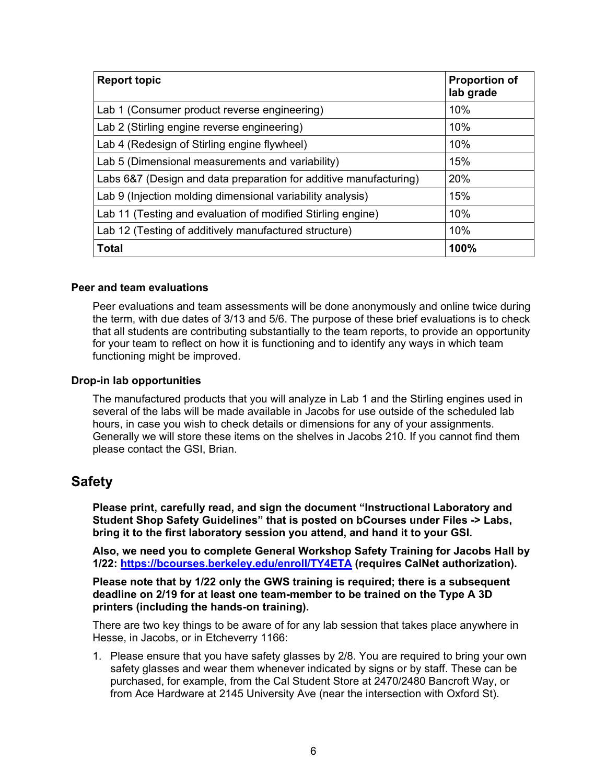| <b>Report topic</b>                                               | <b>Proportion of</b><br>lab grade |
|-------------------------------------------------------------------|-----------------------------------|
| Lab 1 (Consumer product reverse engineering)                      | 10%                               |
| Lab 2 (Stirling engine reverse engineering)                       | 10%                               |
| Lab 4 (Redesign of Stirling engine flywheel)                      | 10%                               |
| Lab 5 (Dimensional measurements and variability)                  | 15%                               |
| Labs 6&7 (Design and data preparation for additive manufacturing) | 20%                               |
| Lab 9 (Injection molding dimensional variability analysis)        | 15%                               |
| Lab 11 (Testing and evaluation of modified Stirling engine)       | 10%                               |
| Lab 12 (Testing of additively manufactured structure)             | 10%                               |
| <b>Total</b>                                                      | 100%                              |

#### **Peer and team evaluations**

Peer evaluations and team assessments will be done anonymously and online twice during the term, with due dates of 3/13 and 5/6. The purpose of these brief evaluations is to check that all students are contributing substantially to the team reports, to provide an opportunity for your team to reflect on how it is functioning and to identify any ways in which team functioning might be improved.

#### **Drop-in lab opportunities**

The manufactured products that you will analyze in Lab 1 and the Stirling engines used in several of the labs will be made available in Jacobs for use outside of the scheduled lab hours, in case you wish to check details or dimensions for any of your assignments. Generally we will store these items on the shelves in Jacobs 210. If you cannot find them please contact the GSI, Brian.

### **Safety**

**Please print, carefully read, and sign the document "Instructional Laboratory and Student Shop Safety Guidelines" that is posted on bCourses under Files -> Labs, bring it to the first laboratory session you attend, and hand it to your GSI.** 

**Also, we need you to complete General Workshop Safety Training for Jacobs Hall by 1/22: https://bcourses.berkeley.edu/enroll/TY4ETA (requires CalNet authorization).** 

**Please note that by 1/22 only the GWS training is required; there is a subsequent deadline on 2/19 for at least one team-member to be trained on the Type A 3D printers (including the hands-on training).** 

There are two key things to be aware of for any lab session that takes place anywhere in Hesse, in Jacobs, or in Etcheverry 1166:

1. Please ensure that you have safety glasses by 2/8. You are required to bring your own safety glasses and wear them whenever indicated by signs or by staff. These can be purchased, for example, from the Cal Student Store at 2470/2480 Bancroft Way, or from Ace Hardware at 2145 University Ave (near the intersection with Oxford St).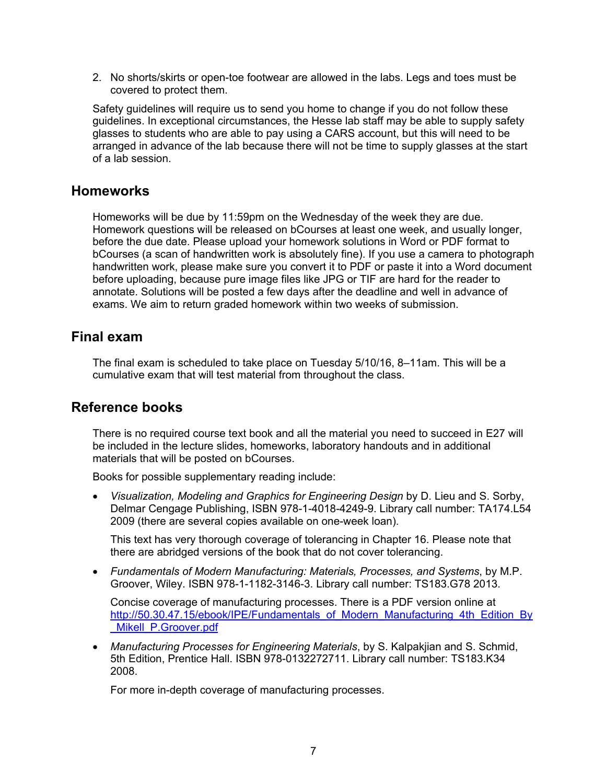2. No shorts/skirts or open-toe footwear are allowed in the labs. Legs and toes must be covered to protect them.

Safety guidelines will require us to send you home to change if you do not follow these guidelines. In exceptional circumstances, the Hesse lab staff may be able to supply safety glasses to students who are able to pay using a CARS account, but this will need to be arranged in advance of the lab because there will not be time to supply glasses at the start of a lab session.

## **Homeworks**

Homeworks will be due by 11:59pm on the Wednesday of the week they are due. Homework questions will be released on bCourses at least one week, and usually longer, before the due date. Please upload your homework solutions in Word or PDF format to bCourses (a scan of handwritten work is absolutely fine). If you use a camera to photograph handwritten work, please make sure you convert it to PDF or paste it into a Word document before uploading, because pure image files like JPG or TIF are hard for the reader to annotate. Solutions will be posted a few days after the deadline and well in advance of exams. We aim to return graded homework within two weeks of submission.

## **Final exam**

The final exam is scheduled to take place on Tuesday 5/10/16, 8–11am. This will be a cumulative exam that will test material from throughout the class.

## **Reference books**

There is no required course text book and all the material you need to succeed in E27 will be included in the lecture slides, homeworks, laboratory handouts and in additional materials that will be posted on bCourses.

Books for possible supplementary reading include:

 *Visualization, Modeling and Graphics for Engineering Design* by D. Lieu and S. Sorby, Delmar Cengage Publishing, ISBN 978-1-4018-4249-9. Library call number: TA174.L54 2009 (there are several copies available on one-week loan).

This text has very thorough coverage of tolerancing in Chapter 16. Please note that there are abridged versions of the book that do not cover tolerancing.

 *Fundamentals of Modern Manufacturing: Materials, Processes, and Systems*, by M.P. Groover, Wiley. ISBN 978-1-1182-3146-3. Library call number: TS183.G78 2013.

Concise coverage of manufacturing processes. There is a PDF version online at http://50.30.47.15/ebook/IPE/Fundamentals\_of\_Modern\_Manufacturing\_4th\_Edition\_By \_Mikell\_P.Groover.pdf

 *Manufacturing Processes for Engineering Materials*, by S. Kalpakjian and S. Schmid, 5th Edition, Prentice Hall. ISBN 978-0132272711. Library call number: TS183.K34 2008.

For more in-depth coverage of manufacturing processes.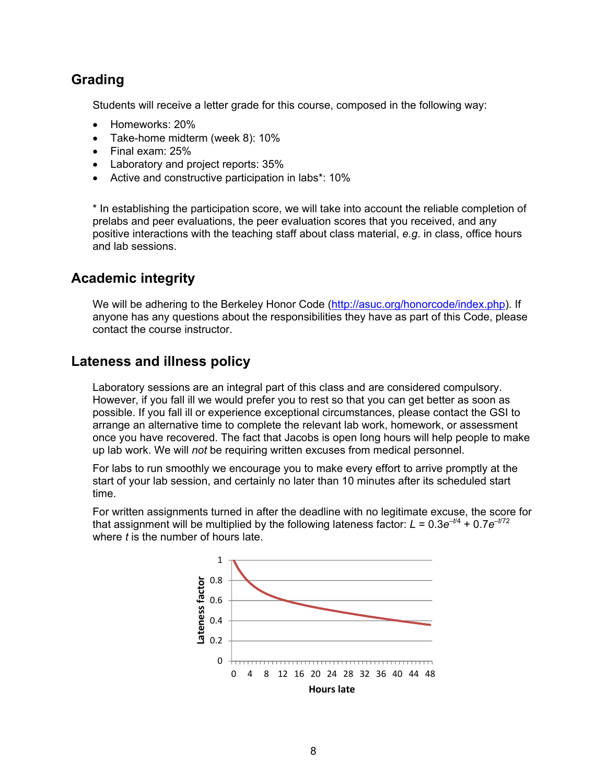# **Grading**

Students will receive a letter grade for this course, composed in the following way:

- Homeworks: 20%
- Take-home midterm (week 8): 10%
- Final exam: 25%
- Laboratory and project reports: 35%
- Active and constructive participation in labs\*: 10%

\* In establishing the participation score, we will take into account the reliable completion of prelabs and peer evaluations, the peer evaluation scores that you received, and any positive interactions with the teaching staff about class material, *e.g*. in class, office hours and lab sessions.

## **Academic integrity**

We will be adhering to the Berkeley Honor Code (http://asuc.org/honorcode/index.php). If anyone has any questions about the responsibilities they have as part of this Code, please contact the course instructor.

## **Lateness and illness policy**

Laboratory sessions are an integral part of this class and are considered compulsory. However, if you fall ill we would prefer you to rest so that you can get better as soon as possible. If you fall ill or experience exceptional circumstances, please contact the GSI to arrange an alternative time to complete the relevant lab work, homework, or assessment once you have recovered. The fact that Jacobs is open long hours will help people to make up lab work. We will *not* be requiring written excuses from medical personnel.

For labs to run smoothly we encourage you to make every effort to arrive promptly at the start of your lab session, and certainly no later than 10 minutes after its scheduled start time.

For written assignments turned in after the deadline with no legitimate excuse, the score for that assignment will be multiplied by the following lateness factor:  $L = 0.3e^{-t/4} + 0.7e^{-t/72}$ where *t* is the number of hours late.